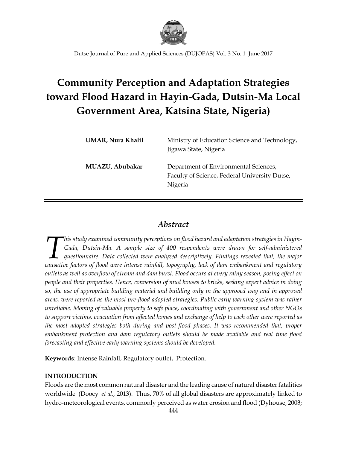

# **Community Perception and Adaptation Strategies toward Flood Hazard in Hayin-Gada, Dutsin-Ma Local Government Area, Katsina State, Nigeria)**

| <b>UMAR, Nura Khalil</b> | Ministry of Education Science and Technology,<br>Jigawa State, Nigeria                            |
|--------------------------|---------------------------------------------------------------------------------------------------|
| MUAZU, Abubakar          | Department of Environmental Sciences,<br>Faculty of Science, Federal University Dutse,<br>Nigeria |

# *Abstract*

*his study examined community perceptions on flood hazard and adaptation strategies in Hayin-Gada, Dutsin-Ma. A sample size of 400 respondents were drawn for self-administered questionnaire. Data collected were analyzed descriptively. Findings revealed that, the major cada, Dutsin-Ma. A sample size of 400 respondents were drawn for self-administered questionnaire. Data collected were analyzed descriptively. Findings revealed that, the major causative factors of flood were intense rainf outlets as well as overflow of stream and dam burst. Flood occurs at every rainy season, posing effect on people and their properties. Hence, conversion of mud houses to bricks, seeking expert advice in doing so, the use of appropriate building material and building only in the approved way and in approved areas, were reported as the most pre-flood adopted strategies. Public early warning system was rather unreliable. Moving of valuable property to safe place, coordinating with government and other NGOs to support victims, evacuation from affected homes and exchange of help to each other were reported as the most adopted strategies both during and post-flood phases. It was recommended that, proper embankment protection and dam regulatory outlets should be made available and real time flood forecasting and effective early warning systems should be developed.*

**Keywords**: Intense Rainfall, Regulatory outlet, Protection.

## **INTRODUCTION**

Floods are the most common natural disaster and the leading cause of natural disaster fatalities worldwide (Doocy *et al.,* 2013). Thus, 70% of all global disasters are approximately linked to hydro-meteorological events, commonly perceived as water erosion and flood (Dyhouse, 2003;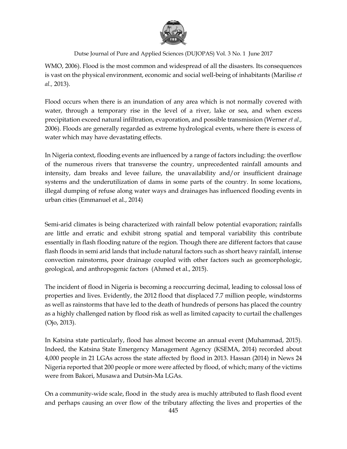

WMO, 2006). Flood is the most common and widespread of all the disasters. Its consequences is vast on the physical environment, economic and social well-being of inhabitants (Marilise *et al.,* 2013).

Flood occurs when there is an inundation of any area which is not normally covered with water, through a temporary rise in the level of a river, lake or sea, and when excess precipitation exceed natural infiltration, evaporation, and possible transmission (Werner *et al.,* 2006). Floods are generally regarded as extreme hydrological events, where there is excess of water which may have devastating effects.

In Nigeria context, flooding events are influenced by a range of factors including: the overflow of the numerous rivers that transverse the country, unprecedented rainfall amounts and intensity, dam breaks and levee failure, the unavailability and/or insufficient drainage systems and the underutilization of dams in some parts of the country. In some locations, illegal dumping of refuse along water ways and drainages has influenced flooding events in urban cities (Emmanuel et al., 2014)

Semi-arid climates is being characterized with rainfall below potential evaporation; rainfalls are little and erratic and exhibit strong spatial and temporal variability this contribute essentially in flash flooding nature of the region. Though there are different factors that cause flash floods in semi arid lands that include natural factors such as short heavy rainfall, intense convection rainstorms, poor drainage coupled with other factors such as geomorphologic, geological, and anthropogenic factors (Ahmed et al., 2015).

The incident of flood in Nigeria is becoming a reoccurring decimal, leading to colossal loss of properties and lives. Evidently, the 2012 flood that displaced 7.7 million people, windstorms as well as rainstorms that have led to the death of hundreds of persons has placed the country as a highly challenged nation by flood risk as well as limited capacity to curtail the challenges (Ojo, 2013).

In Katsina state particularly, flood has almost become an annual event (Muhammad, 2015). Indeed, the Katsina State Emergency Management Agency (KSEMA, 2014) recorded about 4,000 people in 21 LGAs across the state affected by flood in 2013. Hassan (2014) in News 24 Nigeria reported that 200 people or more were affected by flood, of which; many of the victims were from Bakori, Musawa and Dutsin-Ma LGAs.

On a community-wide scale, flood in the study area is muchly attributed to flash flood event and perhaps causing an over flow of the tributary affecting the lives and properties of the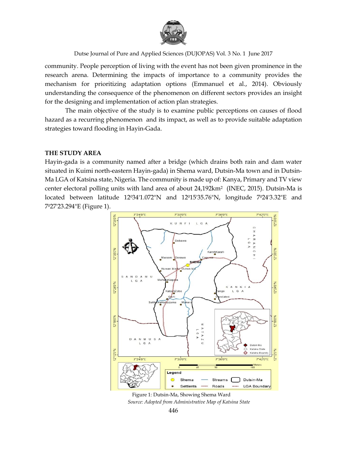

community. People perception of living with the event has not been given prominence in the research arena. Determining the impacts of importance to a community provides the mechanism for prioritizing adaptation options (Emmanuel et al., 2014). Obviously understanding the consequence of the phenomenon on different sectors provides an insight for the designing and implementation of action plan strategies.

The main objective of the study is to examine public perceptions on causes of flood hazard as a recurring phenomenon and its impact, as well as to provide suitable adaptation strategies toward flooding in Hayin-Gada.

### **THE STUDY AREA**

Hayin-gada is a community named after a bridge (which drains both rain and dam water situated in Kuimi north-eastern Hayin-gada) in Shema ward, Dutsin-Ma town and in Dutsin-Ma LGA of Katsina state, Nigeria. The community is made up of: Kanya, Primary and TV view center electoral polling units with land area of about 24,192km2 (INEC, 2015). Dutsin-Ma is located between latitude 12034'1.072"N and 12015'35.76"N, longitude 7024'3.32"E and 7027'23.294"E (Figure 1).



Figure 1: Dutsin-Ma, Showing Shema Ward *Source: Adopted from Administrative Map of Katsina State*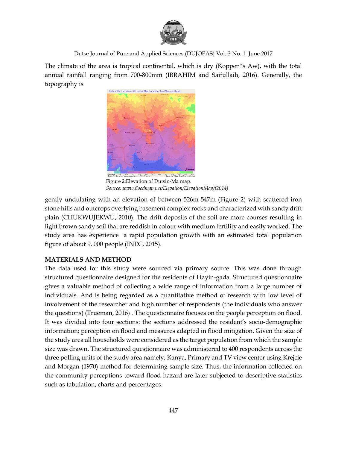

The climate of the area is tropical continental, which is dry (Koppen"s Aw), with the total annual rainfall ranging from 700-800mm (IBRAHIM and Saifullaih, 2016). Generally, the topography is



Figure 2:Elevation of Dutsin-Ma map. *Source: www.floodmap.net/Elevation/ElevationMap/(2014)*

gently undulating with an elevation of between 526m-547m (Figure 2) with scattered iron stone hills and outcrops overlying basement complex rocks and characterized with sandy drift plain (CHUKWUJEKWU, 2010). The drift deposits of the soil are more courses resulting in light brown sandy soil that are reddish in colour with medium fertility and easily worked. The study area has experience a rapid population growth with an estimated total population figure of about 9, 000 people (INEC, 2015).

# **MATERIALS AND METHOD**

The data used for this study were sourced via primary source. This was done through structured questionnaire designed for the residents of Hayin-gada. Structured questionnaire gives a valuable method of collecting a wide range of information from a large number of individuals. And is being regarded as a quantitative method of research with low level of involvement of the researcher and high number of respondents (the individuals who answer the questions) (Trueman, 2016) . The questionnaire focuses on the people perception on flood. It was divided into four sections: the sections addressed the resident's socio-demographic information; perception on flood and measures adapted in flood mitigation. Given the size of the study area all households were considered as the target population from which the sample size was drawn. The structured questionnaire was administered to 400 respondents across the three polling units of the study area namely; Kanya, Primary and TV view center using Krejcie and Morgan (1970) method for determining sample size. Thus, the information collected on the community perceptions toward flood hazard are later subjected to descriptive statistics such as tabulation, charts and percentages.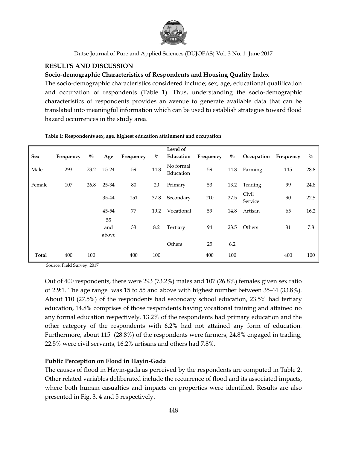

## **RESULTS AND DISCUSSION**

## **Socio-demographic Characteristics of Respondents and Housing Quality Index**

The socio-demographic characteristics considered include; sex, age, educational qualification and occupation of respondents (Table 1). Thus, understanding the socio-demographic characteristics of respondents provides an avenue to generate available data that can be translated into meaningful information which can be used to establish strategies toward flood hazard occurrences in the study area.

| <b>Sex</b>   | Frequency | $\frac{0}{0}$ | Age                | Frequency | $\frac{0}{0}$ | Level of<br>Education  | Frequency | $\frac{0}{0}$ | Occupation       | Frequency | $\frac{0}{0}$ |
|--------------|-----------|---------------|--------------------|-----------|---------------|------------------------|-----------|---------------|------------------|-----------|---------------|
| Male         | 293       | 73.2          | 15-24              | 59        | 14.8          | No formal<br>Education | 59        | 14.8          | Farming          | 115       | 28.8          |
| Female       | 107       | 26.8          | 25-34              | 80        | 20            | Primary                | 53        | 13.2          | Trading          | 99        | 24.8          |
|              |           |               | 35-44              | 151       | 37.8          | Secondary              | 110       | 27.5          | Civil<br>Service | 90        | 22.5          |
|              |           |               | 45-54              | 77        | 19.2          | Vocational             | 59        | 14.8          | Artisan          | 65        | 16.2          |
|              |           |               | 55<br>and<br>above | 33        | 8.2           | Tertiary               | 94        | 23.5          | Others           | 31        | 7.8           |
|              |           |               |                    |           |               | Others                 | 25        | 6.2           |                  |           |               |
| <b>Total</b> | 400       | 100           |                    | 400       | 100           |                        | 400       | 100           |                  | 400       | 100           |

#### **Table 1: Respondents sex, age, highest education attainment and occupation**

Source: Field Survey, 2017

Out of 400 respondents, there were 293 (73.2%) males and 107 (26.8%) females given sex ratio of 2.9:1. The age range was 15 to 55 and above with highest number between 35-44 (33.8%). About 110 (27.5%) of the respondents had secondary school education, 23.5% had tertiary education, 14.8% comprises of those respondents having vocational training and attained no any formal education respectively. 13.2% of the respondents had primary education and the other category of the respondents with 6.2% had not attained any form of education. Furthermore, about 115 (28.8%) of the respondents were farmers, 24.8% engaged in trading, 22.5% were civil servants, 16.2% artisans and others had 7.8%.

## **Public Perception on Flood in Hayin-Gada**

The causes of flood in Hayin-gada as perceived by the respondents are computed in Table 2. Other related variables deliberated include the recurrence of flood and its associated impacts, where both human casualties and impacts on properties were identified. Results are also presented in Fig. 3, 4 and 5 respectively.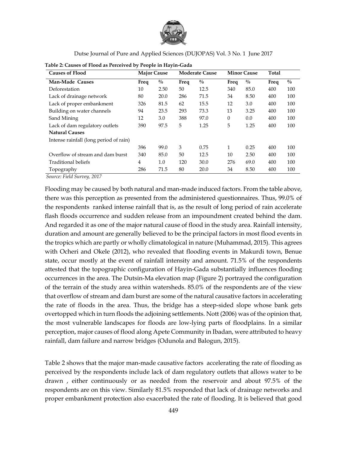

| <b>Causes of Flood</b>                 |      | <b>Major Cause</b><br><b>Moderate Cause</b> |      |               | <b>Minor Cause</b> | Total         |      |               |
|----------------------------------------|------|---------------------------------------------|------|---------------|--------------------|---------------|------|---------------|
| Man-Made Causes                        | Freq | $\frac{0}{0}$                               | Freq | $\frac{0}{0}$ | Freq               | $\frac{0}{0}$ | Freq | $\frac{0}{0}$ |
| Deforestation                          | 10   | 2.50                                        | 50   | 12.5          | 340                | 85.0          | 400  | 100           |
| Lack of drainage network               | 80   | 20.0                                        | 286  | 71.5          | 34                 | 8.50          | 400  | 100           |
| Lack of proper embankment              | 326  | 81.5                                        | 62   | 15.5          | 12                 | 3.0           | 400  | 100           |
| Building on water channels             | 94   | 23.5                                        | 293  | 73.3          | 13                 | 3.25          | 400  | 100           |
| Sand Mining                            | 12   | 3.0                                         | 388  | 97.0          | $\theta$           | 0.0           | 400  | 100           |
| Lack of dam regulatory outlets         | 390  | 97.5                                        | 5    | 1.25          | 5                  | 1.25          | 400  | 100           |
| <b>Natural Causes</b>                  |      |                                             |      |               |                    |               |      |               |
| Intense rainfall (long period of rain) |      |                                             |      |               |                    |               |      |               |
|                                        | 396  | 99.0                                        | 3    | 0.75          | $\mathbf{1}$       | 0.25          | 400  | 100           |
| Overflow of stream and dam burst       | 340  | 85.0                                        | 50   | 12.5          | 10                 | 2.50          | 400  | 100           |
| Traditional beliefs                    | 4    | $1.0\,$                                     | 120  | 30.0          | 276                | 69.0          | 400  | 100           |
| Topography                             | 286  | 71.5                                        | 80   | 20.0          | 34                 | 8.50          | 400  | 100           |

**Table 2: Causes of Flood as Perceived by People in Hayin-Gada**

*Source: Field Survey, 2017*

Flooding may be caused by both natural and man-made induced factors. From the table above, there was this perception as presented from the administered questionnaires. Thus, 99.0% of the respondents ranked intense rainfall that is, as the result of long period of rain accelerate flash floods occurrence and sudden release from an impoundment created behind the dam. And regarded it as one of the major natural cause of flood in the study area. Rainfall intensity, duration and amount are generally believed to be the principal factors in most flood events in the tropics which are partly or wholly climatological in nature (Muhammad, 2015). This agrees with Ocheri and Okele (2012), who revealed that flooding events in Makurdi town, Benue state, occur mostly at the event of rainfall intensity and amount. 71.5% of the respondents attested that the topographic configuration of Hayin-Gada substantially influences flooding occurrences in the area. The Dutsin-Ma elevation map (Figure 2) portrayed the configuration of the terrain of the study area within watersheds. 85.0% of the respondents are of the view that overflow of stream and dam burst are some of the natural causative factors in accelerating the rate of floods in the area. Thus, the bridge has a steep-sided slope whose bank gets overtopped which in turn floods the adjoining settlements. Nott (2006) was of the opinion that, the most vulnerable landscapes for floods are low-lying parts of floodplains. In a similar perception, major causes of flood along Apete Community in Ibadan, were attributed to heavy rainfall, dam failure and narrow bridges (Odunola and Balogun, 2015).

Table 2 shows that the major man-made causative factors accelerating the rate of flooding as perceived by the respondents include lack of dam regulatory outlets that allows water to be drawn , either continuously or as needed from the reservoir and about 97.5% of the respondents are on this view. Similarly 81.5% responded that lack of drainage networks and proper embankment protection also exacerbated the rate of flooding. It is believed that good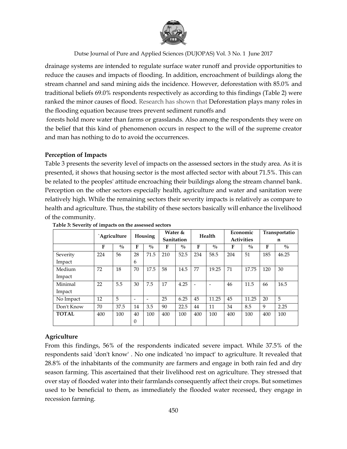

drainage systems are intended to regulate surface water runoff and provide opportunities to reduce the causes and impacts of flooding. In addition, encroachment of buildings along the stream channel and sand mining aids the incidence. However, deforestation with 85.0% and traditional beliefs 69.0% respondents respectively as according to this findings (Table 2) were ranked the minor causes of flood. Research has shown that Deforestation plays many roles in the flooding equation because trees prevent sediment runoffs and

forests hold more water than farms or grasslands. Also among the respondents they were on the belief that this kind of phenomenon occurs in respect to the will of the supreme creator and man has nothing to do to avoid the occurrences.

## **Perception of Impacts**

Table 3 presents the severity level of impacts on the assessed sectors in the study area. As it is presented, it shows that housing sector is the most affected sector with about 71.5%. This can be related to the peoples' attitude encroaching their buildings along the stream channel bank. Perception on the other sectors especially health, agriculture and water and sanitation were relatively high. While the remaining sectors their severity impacts is relatively as compare to health and agriculture. Thus, the stability of these sectors basically will enhance the livelihood of the community.

|              | `Agriculture |               | Housing                  |                          | Water &    |               | Health |             | Economic          |               | Transportatio |               |
|--------------|--------------|---------------|--------------------------|--------------------------|------------|---------------|--------|-------------|-------------------|---------------|---------------|---------------|
|              |              |               |                          |                          | Sanitation |               |        |             | <b>Activities</b> |               | n             |               |
|              | F            | $\frac{0}{0}$ | F                        | $\frac{0}{0}$            | F          | $\frac{0}{0}$ | F      | $^{0}/_{0}$ | F                 | $\frac{0}{0}$ | F             | $\frac{0}{0}$ |
| Severity     | 224          | 56            | 28                       | 71.5                     | 210        | 52.5          | 234    | 58.5        | 204               | 51            | 185           | 46.25         |
| Impact       |              |               | 6                        |                          |            |               |        |             |                   |               |               |               |
| Medium       | 72           | 18            | 70                       | 17.5                     | 58         | 14.5          | 77     | 19.25       | 71                | 17.75         | 120           | 30            |
| Impact       |              |               |                          |                          |            |               |        |             |                   |               |               |               |
| Minimal      | 22           | 5.5           | 30                       | 7.5                      | 17         | 4.25          |        |             | 46                | 11.5          | 66            | 16.5          |
| Impact       |              |               |                          |                          |            |               |        |             |                   |               |               |               |
| No Impact    | 12           | 5             | $\overline{\phantom{0}}$ | $\overline{\phantom{0}}$ | 25         | 6.25          | 45     | 11.25       | 45                | 11.25         | 20            | 5             |
| Don't Know   | 70           | 37.5          | 14                       | 3.5                      | 90         | 22.5          | 44     | 11          | 34                | 8.5           | 9             | 2.25          |
| <b>TOTAL</b> | 400          | 100           | 40                       | 100                      | 400        | 100           | 400    | 100         | 400               | 100           | 400           | 100           |
|              |              |               | $\Omega$                 |                          |            |               |        |             |                   |               |               |               |

#### **Table 3: Severity of impacts on the assessed sectors**

# **Agriculture**

From this findings, 56% of the respondents indicated severe impact. While 37.5% of the respondents said 'don't know' . No one indicated 'no impact' to agriculture. It revealed that 28.8% of the inhabitants of the community are farmers and engage in both rain fed and dry season farming. This ascertained that their livelihood rest on agriculture. They stressed that over stay of flooded water into their farmlands consequently affect their crops. But sometimes used to be beneficial to them, as immediately the flooded water recessed, they engage in recession farming.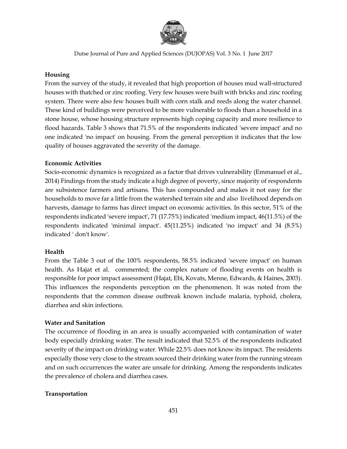

# **Housing**

From the survey of the study, it revealed that high proportion of houses mud wall-structured houses with thatched or zinc roofing. Very few houses were built with bricks and zinc roofing system. There were also few houses built with corn stalk and reeds along the water channel. These kind of buildings were perceived to be more vulnerable to floods than a household in a stone house, whose housing structure represents high coping capacity and more resilience to flood hazards. Table 3 shows that 71.5% of the respondents indicated 'severe impact' and no one indicated 'no impact' on housing. From the general perception it indicates that the low quality of houses aggravated the severity of the damage.

# **Economic Activities**

Socio-economic dynamics is recognized as a factor that drives vulnerability (Emmanuel et al., 2014) Findings from the study indicate a high degree of poverty, since majority of respondents are subsistence farmers and artisans. This has compounded and makes it not easy for the households to move far a little from the watershed terrain site and also livelihood depends on harvests, damage to farms has direct impact on economic activities. In this sector, 51% of the respondents indicated 'severe impact', 71 (17.75%) indicated 'medium impact, 46(11.5%) of the respondents indicated 'minimal impact'. 45(11.25%) indicated 'no impact' and 34 (8.5%) indicated ' don't know'.

# **Health**

From the Table 3 out of the 100% respondents, 58.5% indicated 'severe impact' on human health. As Hajat et al. commented; the complex nature of flooding events on health is responsible for poor impact assessment (Hajat, Ebi, Kovats, Menne, Edwards, & Haines, 2003). This influences the respondents perception on the phenomenon. It was noted from the respondents that the common disease outbreak known include malaria, typhoid, cholera, diarrhea and skin infections.

# **Water and Sanitation**

The occurrence of flooding in an area is usually accompanied with contamination of water body especially drinking water. The result indicated that 52.5% of the respondents indicated severity of the impact on drinking water. While 22.5% does not know its impact. The residents especially those very close to the stream sourced their drinking water from the running stream and on such occurrences the water are unsafe for drinking. Among the respondents indicates the prevalence of cholera and diarrhea cases.

# **Transportation**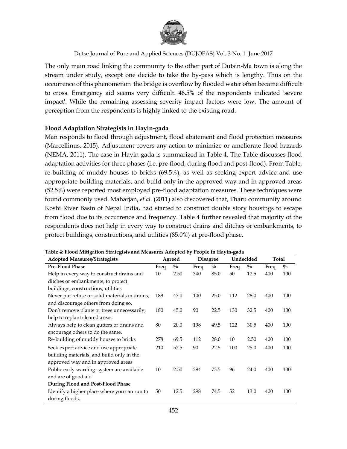

The only main road linking the community to the other part of Dutsin-Ma town is along the stream under study, except one decide to take the by-pass which is lengthy. Thus on the occurrence of this phenomenon the bridge is overflow by flooded water often became difficult to cross. Emergency aid seems very difficult. 46.5% of the respondents indicated 'severe impact'. While the remaining assessing severity impact factors were low. The amount of perception from the respondents is highly linked to the existing road.

## **Flood Adaptation Strategists in Hayin-gada**

Man responds to flood through adjustment, flood abatement and flood protection measures (Marcellinus, 2015). Adjustment covers any action to minimize or ameliorate flood hazards (NEMA, 2011). The case in Hayin-gada is summarized in Table 4. The Table discusses flood adaptation activities for three phases (i.e. pre-flood, during flood and post-flood). From Table, re-building of muddy houses to bricks (69.5%), as well as seeking expert advice and use appropriate building materials, and build only in the approved way and in approved areas (52.5%) were reported most employed pre-flood adaptation measures. These techniques were found commonly used. Maharjan, *et al.* (2011) also discovered that, Tharu community around Koshi River Basin of Nepal India, had started to construct double story housings to escape from flood due to its occurrence and frequency. Table 4 further revealed that majority of the respondents does not help in every way to construct drains and ditches or embankments, to protect buildings, constructions, and utilities (85.0%) at pre-flood phase.

| <b>Adopted Measures/Strategists</b>            |      | Agreed        |      | <b>Disagree</b> |      | Undecided     | Total |               |
|------------------------------------------------|------|---------------|------|-----------------|------|---------------|-------|---------------|
| <b>Pre-Flood Phase</b>                         | Freq | $\frac{0}{0}$ | Freq | $\frac{0}{0}$   | Freq | $\frac{0}{0}$ | Freq  | $\frac{0}{0}$ |
| Help in every way to construct drains and      | 10   | 2.50          | 340  | 85.0            | 50   | 12.5          | 400   | 100           |
| ditches or embankments, to protect             |      |               |      |                 |      |               |       |               |
| buildings, constructions, utilities            |      |               |      |                 |      |               |       |               |
| Never put refuse or solid materials in drains, | 188  | 47.0          | 100  | 25.0            | 112  | 28.0          | 400   | 100           |
| and discourage others from doing so.           |      |               |      |                 |      |               |       |               |
| Don't remove plants or trees unnecessarily,    | 180  | 45.0          | 90   | 22.5            | 130  | 32.5          | 400   | 100           |
| help to replant cleared areas.                 |      |               |      |                 |      |               |       |               |
| Always help to clean gutters or drains and     | 80   | 20.0          | 198  | 49.5            | 122  | 30.5          | 400   | 100           |
| encourage others to do the same.               |      |               |      |                 |      |               |       |               |
| Re-building of muddy houses to bricks          | 278  | 69.5          | 112  | 28.0            | 10   | 2.50          | 400   | 100           |
| Seek expert advice and use appropriate         | 210  | 52.5          | 90   | 22.5            | 100  | 25.0          | 400   | 100           |
| building materials, and build only in the      |      |               |      |                 |      |               |       |               |
| approved way and in approved areas             |      |               |      |                 |      |               |       |               |
| Public early warning system are available      | 10   | 2.50          | 294  | 73.5            | 96   | 24.0          | 400   | 100           |
| and are of good aid                            |      |               |      |                 |      |               |       |               |
| During Flood and Post-Flood Phase              |      |               |      |                 |      |               |       |               |
| Identify a higher place where you can run to   | 50   | 12.5          | 298  | 74.5            | 52   | 13.0          | 400   | 100           |
| during floods.                                 |      |               |      |                 |      |               |       |               |

**Table 4: Flood Mitigation Strategists and Measures Adopted by People in Hayin-gada**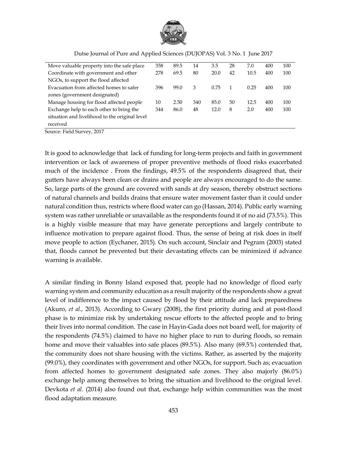

| Move valuable property into the safe place     | 358 | 89.5 | 14  | 3.5  | 28 | 7.0  | 400 | 100 |
|------------------------------------------------|-----|------|-----|------|----|------|-----|-----|
| Coordinate with government and other           | 278 | 69.5 | 80  | 20.0 | 42 | 10.5 | 400 | 100 |
| NGOs, to support the flood affected            |     |      |     |      |    |      |     |     |
| Evacuation from affected homes to safer        | 396 | 99.0 | 3   | 0.75 |    | 0.25 | 400 | 100 |
| zones (government designated)                  |     |      |     |      |    |      |     |     |
| Manage housing for flood affected people       | 10  | 2.50 | 340 | 85.0 | 50 | 12.5 | 400 | 100 |
| Exchange help to each other to bring the       | 344 | 86.0 | 48  | 12.0 | 8  | 2.0  | 400 | 100 |
| situation and livelihood to the original level |     |      |     |      |    |      |     |     |
| received                                       |     |      |     |      |    |      |     |     |

Dutse Journal of Pure and Applied Sciences (DUJOPAS) Vol. 3 No. 1 June 2017

Source: Field Survey, 2017

It is good to acknowledge that lack of funding for long-term projects and faith in government intervention or lack of awareness of proper preventive methods of flood risks exacerbated much of the incidence . From the findings, 49.5% of the respondents disagreed that, their gutters have always been clean or drains and people are always encouraged to do the same. So, large parts of the ground are covered with sands at dry season, thereby obstruct sections of natural channels and builds drains that ensure water movement faster than it could under natural condition thus, restricts where flood water can go (Hassan, 2014). Public early warning system was rather unreliable or unavailable as the respondents found it of no aid (73.5%). This is a highly visible measure that may have generate perceptions and largely contribute to influence motivation to prepare against flood. Thus, the sense of being at risk does in itself move people to action (Eychaner, 2015). On such account, Sinclair and Pegram (2003) stated that, floods cannot be prevented but their devastating effects can be minimized if advance warning is available.

A similar finding in Bonny Island exposed that, people had no knowledge of flood early warning system and community education as a result majority of the respondents show a great level of indifference to the impact caused by flood by their attitude and lack preparedness (Akuro, *et al.,* 2013). According to Gwary (2008), the first priority during and at post-flood phase is to minimize risk by undertaking rescue efforts to the affected people and to bring their lives into normal condition. The case in Hayin-Gada does not board well, for majority of the respondents (74.5%) claimed to have no higher place to run to during floods, so remain home and move their valuables into safe places (89.5%). Also many (69.5%) contended that, the community does not share housing with the victims. Rather, as asserted by the majority (99.0%), they coordinates with government and other NGOs, for support. Such as; evacuation from affected homes to government designated safe zones. They also majorly (86.0%) exchange help among themselves to bring the situation and livelihood to the original level. Devkota *et al.* (2014) also found out that, exchange help within communities was the most flood adaptation measure.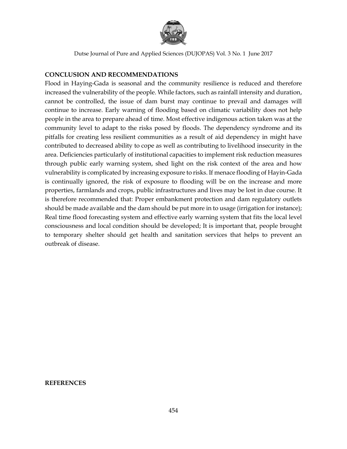

## **CONCLUSION AND RECOMMENDATIONS**

Flood in Haying-Gada is seasonal and the community resilience is reduced and therefore increased the vulnerability of the people. While factors, such as rainfall intensity and duration, cannot be controlled, the issue of dam burst may continue to prevail and damages will continue to increase. Early warning of flooding based on climatic variability does not help people in the area to prepare ahead of time. Most effective indigenous action taken was at the community level to adapt to the risks posed by floods. The dependency syndrome and its pitfalls for creating less resilient communities as a result of aid dependency in might have contributed to decreased ability to cope as well as contributing to livelihood insecurity in the area. Deficiencies particularly of institutional capacities to implement risk reduction measures through public early warning system, shed light on the risk context of the area and how vulnerability is complicated by increasing exposure to risks. If menace flooding of Hayin-Gada is continually ignored, the risk of exposure to flooding will be on the increase and more properties, farmlands and crops, public infrastructures and lives may be lost in due course. It is therefore recommended that: Proper embankment protection and dam regulatory outlets should be made available and the dam should be put more in to usage (irrigation for instance); Real time flood forecasting system and effective early warning system that fits the local level consciousness and local condition should be developed; It is important that, people brought to temporary shelter should get health and sanitation services that helps to prevent an outbreak of disease.

#### **REFERENCES**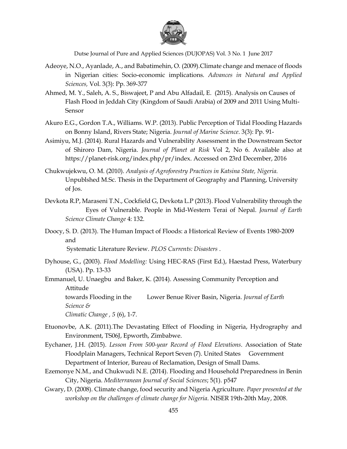

- Adeoye, N.O., Ayanlade, A., and Babatimehin, O. (2009).Climate change and menace of floods in Nigerian cities: Socio-economic implications. *Advances in Natural and Applied Sciences,* Vol. 3(3): Pp. 369-377
- Ahmed, M. Y., Saleh, A. S., Biswajeet, P and Abu Alfadail, E. (2015). Analysis on Causes of Flash Flood in Jeddah City (Kingdom of Saudi Arabia) of 2009 and 2011 Using Multi-Sensor
- Akuro E.G., Gordon T.A., Williams. W.P. (2013). Public Perception of Tidal Flooding Hazards on Bonny Island, Rivers State; Nigeria. *Journal of Marine Science*. 3(3): Pp. 91-
- Asimiyu, M.J. (2014). Rural Hazards and Vulnerability Assessment in the Downstream Sector of Shiroro Dam, Nigeria. *Journal of Planet at Risk* Vol 2, No 6. Available also at https://planet-risk.org/index.php/pr/index. Accessed on 23rd December, 2016
- Chukwujekwu, O. M. (2010). *Analysis of Agroforestry Practices in Katsina State, Nigeria.* Unpublshed M.Sc. Thesis in the Department of Geography and Planning, University of Jos.
- Devkota R.P, Maraseni T.N., Cockfield G, Devkota L.P (2013). Flood Vulnerability through the Eyes of Vulnerable. People in Mid-Western Terai of Nepal. *Journal of Earth Science Climate Change* 4: 132.
- Doocy, S. D. (2013). The Human Impact of Floods: a Historical Review of Events 1980-2009 and

Systematic Literature Review. *PLOS Currents: Disasters* .

Dyhouse, G., (2003). *Flood Modelling:* Using HEC-RAS (First Ed.), Haestad Press, Waterbury (USA). Pp. 13-33

Emmanuel, U. Unaegbu and Baker, K. (2014). Assessing Community Perception and Attitude towards Flooding in the Lower Benue River Basin, Nigeria. *Journal of Earth Science &* 

*Climatic Change , 5* (6), 1-7.

- Etuonovbe, A.K. (2011).The Devastating Effect of Flooding in Nigeria, Hydrography and Environment, TS06J, Epworth, Zimbabwe.
- Eychaner, J.H. (2015). *Lesson From 500-year Record of Flood Elevations*. Association of State Floodplain Managers, Technical Report Seven (7). United States Government Department of Interior, Bureau of Reclamation, Design of Small Dams.
- Ezemonye N.M., and Chukwudi N.E. (2014). Flooding and Household Preparedness in Benin City, Nigeria. *Mediterranean Journal of Social Sciences*; 5(1). p547
- Gwary, D. (2008). Climate change, food security and Nigeria Agriculture. *Paper presented at the workshop on the challenges of climate change for Nigeria*. NISER 19th-20th May, 2008.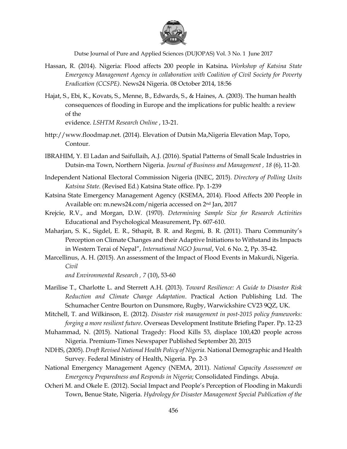

- Hassan, R. (2014). Nigeria: Flood affects 200 people in Katsina*. Workshop of Katsina State Emergency Management Agency in collaboration with Coalition of Civil Society for Poverty Eradication (CCSPE)*. News24 Nigeria. 08 October 2014, 18:56
- Hajat, S., Ebi, K., Kovats, S., Menne, B., Edwards, S., & Haines, A. (2003). The human health consequences of flooding in Europe and the implications for public health: a review of the

evidence. *LSHTM Research Online* , 13-21.

- http://www.floodmap.net. (2014). Elevation of Dutsin Ma,Nigeria Elevation Map, Topo, Contour.
- IBRAHIM, Y. El Ladan and Saifullaih, A.J. (2016). Spatial Patterns of Small Scale Industries in Dutsin-ma Town, Northern Nigeria. *Journal of Business and Management , 18* (6), 11-20.
- Independent National Electoral Commission Nigeria (INEC, 2015). *Directory of Polling Units Katsina State*. (Revised Ed.) Katsina State office. Pp. 1-239
- Katsina State Emergency Management Agency (KSEMA, 2014). Flood Affects 200 People in Available on: m.news24.com/nigeria accessed on 2nd Jan, 2017
- Krejcie, R.V., and Morgan, D.W. (1970). *Determining Sample Size for Research Activities* Educational and Psychological Measurement, Pp. 607-610.
- Maharjan, S. K., Sigdel, E. R., Sthapit, B. R. and Regmi, B. R. (2011). Tharu Community's Perception on Climate Changes and their Adaptive Initiations to Withstand its Impacts in Western Terai of Nepal", *International NGO Journal*, Vol. 6 No. 2, Pp. 35-42.
- Marcellinus, A. H. (2015). An assessment of the Impact of Flood Events in Makurdi, Nigeria. *Civil*

*and Environmental Research , 7* (10), 53-60

Marilise T., Charlotte L. and Sterrett A.H. (2013). *Toward Resilience: A Guide to Disaster Risk Reduction and Climate Change Adaptation*. Practical Action Publishing Ltd. The Schumacher Centre Bourton on Dunsmore, Rugby, Warwickshire CV23 9QZ, UK.

Mitchell, T. and Wilkinson, E. (2012). *Disaster risk management in post-2015 policy frameworks: forging a more resilient future*. Overseas Development Institute Briefing Paper. Pp. 12-23

- Muhammad, N. (2015). National Tragedy: Flood Kills 53, displace 100,420 people across Nigeria. Premium-Times Newspaper Published September 20, 2015
- NDHS, (2005). *Draft Revised National Health Policy of Nigeria.* National Demographic and Health Survey*.* Federal Ministry of Health, Nigeria. Pp. 2-3
- National Emergency Management Agency (NEMA, 2011). *National Capacity Assessment on Emergency Preparedness and Responds in Nigeria*; Consolidated Findings. Abuja.
- Ocheri M. and Okele E. (2012). Social Impact and People's Perception of Flooding in Makurdi Town, Benue State, Nigeria. *Hydrology for Disaster Management Special Publication of the*